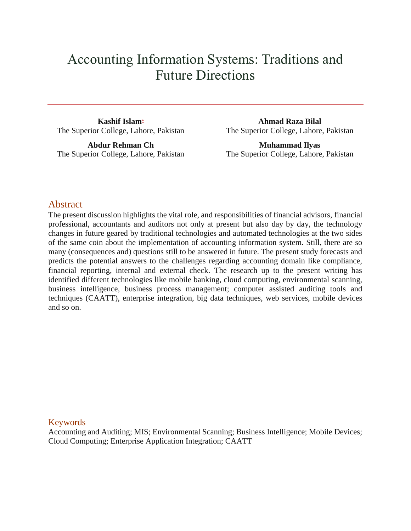# Accounting Information Systems: Traditions and Future Directions

**Kashif Isla[m](http://www.icommercecentral.com/open-access/accounting-information-systems-traditions-and-future-directions-by-using-ais-in-traditional-organizations.php?aid=86088#corr)\*** The Superior College, Lahore, Pakistan

**Abdur Rehman Ch** The Superior College, Lahore, Pakistan

**Ahmad Raza Bilal** The Superior College, Lahore, Pakistan

**Muhammad Ilyas** The Superior College, Lahore, Pakistan

# **Abstract**

The present discussion highlights the vital role, and responsibilities of financial advisors, financial professional, accountants and auditors not only at present but also day by day, the technology changes in future geared by traditional technologies and automated technologies at the two sides of the same coin about the implementation of accounting information system. Still, there are so many (consequences and) questions still to be answered in future. The present study forecasts and predicts the potential answers to the challenges regarding accounting domain like compliance, financial reporting, internal and external check. The research up to the present writing has identified different technologies like mobile banking, cloud computing, environmental scanning, business intelligence, business process management; computer assisted auditing tools and techniques (CAATT), enterprise integration, big data techniques, web services, mobile devices and so on.

# Keywords

Accounting and Auditing; MIS; Environmental Scanning; Business Intelligence; Mobile Devices; Cloud Computing; Enterprise Application Integration; CAATT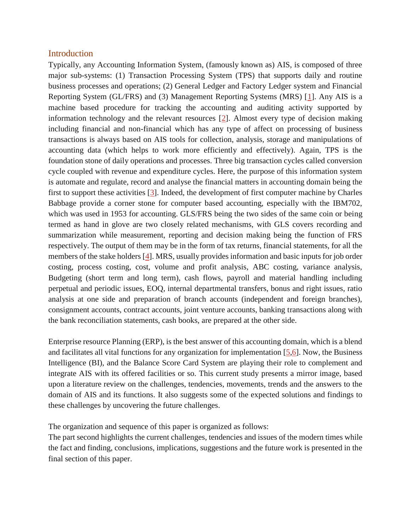#### **Introduction**

Typically, any Accounting Information System, (famously known as) AIS, is composed of three major sub-systems: (1) Transaction Processing System (TPS) that supports daily and routine business processes and operations; (2) General Ledger and Factory Ledger system and Financial Reporting System (GL/FRS) and (3) Management Reporting Systems (MRS) [\[1\]](http://www.icommercecentral.com/open-access/accounting-information-systems-traditions-and-future-directions-by-using-ais-in-traditional-organizations.php?aid=86088#1). Any AIS is a machine based procedure for tracking the accounting and auditing activity supported by information technology and the relevant resources [\[2\]](http://www.icommercecentral.com/open-access/accounting-information-systems-traditions-and-future-directions-by-using-ais-in-traditional-organizations.php?aid=86088#2). Almost every type of decision making including financial and non-financial which has any type of affect on processing of business transactions is always based on AIS tools for collection, analysis, storage and manipulations of accounting data (which helps to work more efficiently and effectively). Again, TPS is the foundation stone of daily operations and processes. Three big transaction cycles called conversion cycle coupled with revenue and expenditure cycles. Here, the purpose of this information system is automate and regulate, record and analyse the financial matters in accounting domain being the first to support these activities [\[3\]](http://www.icommercecentral.com/open-access/accounting-information-systems-traditions-and-future-directions-by-using-ais-in-traditional-organizations.php?aid=86088#3). Indeed, the development of first computer machine by Charles Babbage provide a corner stone for computer based accounting, especially with the IBM702, which was used in 1953 for accounting. GLS/FRS being the two sides of the same coin or being termed as hand in glove are two closely related mechanisms, with GLS covers recording and summarization while measurement, reporting and decision making being the function of FRS respectively. The output of them may be in the form of tax returns, financial statements, for all the members of the stake holders [\[4\]](http://www.icommercecentral.com/open-access/accounting-information-systems-traditions-and-future-directions-by-using-ais-in-traditional-organizations.php?aid=86088#4). MRS, usually provides information and basic inputs for job order costing, process costing, cost, volume and profit analysis, ABC costing, variance analysis, Budgeting (short term and long term), cash flows, payroll and material handling including perpetual and periodic issues, EOQ, internal departmental transfers, bonus and right issues, ratio analysis at one side and preparation of branch accounts (independent and foreign branches), consignment accounts, contract accounts, joint venture accounts, banking transactions along with the bank reconciliation statements, cash books, are prepared at the other side.

Enterprise resource Planning (ERP), is the best answer of this accounting domain, which is a blend and facilitates all vital functions for any organization for implementation [\[5](http://www.icommercecentral.com/open-access/accounting-information-systems-traditions-and-future-directions-by-using-ais-in-traditional-organizations.php?aid=86088#5)[,6\]](http://www.icommercecentral.com/open-access/accounting-information-systems-traditions-and-future-directions-by-using-ais-in-traditional-organizations.php?aid=86088#6). Now, the Business Intelligence (BI), and the Balance Score Card System are playing their role to complement and integrate AIS with its offered facilities or so. This current study presents a mirror image, based upon a literature review on the challenges, tendencies, movements, trends and the answers to the domain of AIS and its functions. It also suggests some of the expected solutions and findings to these challenges by uncovering the future challenges.

The organization and sequence of this paper is organized as follows:

The part second highlights the current challenges, tendencies and issues of the modern times while the fact and finding, conclusions, implications, suggestions and the future work is presented in the final section of this paper.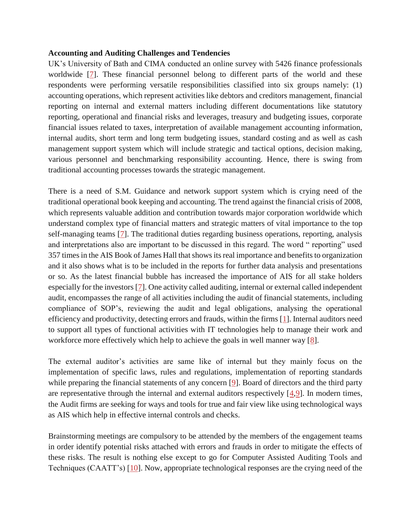#### **Accounting and Auditing Challenges and Tendencies**

UK's University of Bath and CIMA conducted an online survey with 5426 finance professionals worldwide [\[7\]](http://www.icommercecentral.com/open-access/accounting-information-systems-traditions-and-future-directions-by-using-ais-in-traditional-organizations.php?aid=86088#7). These financial personnel belong to different parts of the world and these respondents were performing versatile responsibilities classified into six groups namely: (1) accounting operations, which represent activities like debtors and creditors management, financial reporting on internal and external matters including different documentations like statutory reporting, operational and financial risks and leverages, treasury and budgeting issues, corporate financial issues related to taxes, interpretation of available management accounting information, internal audits, short term and long term budgeting issues, standard costing and as well as cash management support system which will include strategic and tactical options, decision making, various personnel and benchmarking responsibility accounting. Hence, there is swing from traditional accounting processes towards the strategic management.

There is a need of S.M. Guidance and network support system which is crying need of the traditional operational book keeping and accounting. The trend against the financial crisis of 2008, which represents valuable addition and contribution towards major corporation worldwide which understand complex type of financial matters and strategic matters of vital importance to the top self-managing teams [\[7\]](http://www.icommercecentral.com/open-access/accounting-information-systems-traditions-and-future-directions-by-using-ais-in-traditional-organizations.php?aid=86088#7). The traditional duties regarding business operations, reporting, analysis and interpretations also are important to be discussed in this regard. The word " reporting" used 357 times in the AIS Book of James Hall that shows its real importance and benefits to organization and it also shows what is to be included in the reports for further data analysis and presentations or so. As the latest financial bubble has increased the importance of AIS for all stake holders especially for the investors [\[7\]](http://www.icommercecentral.com/open-access/accounting-information-systems-traditions-and-future-directions-by-using-ais-in-traditional-organizations.php?aid=86088#7). One activity called auditing, internal or external called independent audit, encompasses the range of all activities including the audit of financial statements, including compliance of SOP's, reviewing the audit and legal obligations, analysing the operational efficiency and productivity, detecting errors and frauds, within the firms [\[1\]](http://www.icommercecentral.com/open-access/accounting-information-systems-traditions-and-future-directions-by-using-ais-in-traditional-organizations.php?aid=86088#1). Internal auditors need to support all types of functional activities with IT technologies help to manage their work and workforce more effectively which help to achieve the goals in well manner way [\[8\]](http://www.icommercecentral.com/open-access/accounting-information-systems-traditions-and-future-directions-by-using-ais-in-traditional-organizations.php?aid=86088#8).

The external auditor's activities are same like of internal but they mainly focus on the implementation of specific laws, rules and regulations, implementation of reporting standards while preparing the financial statements of any concern [\[9\]](http://www.icommercecentral.com/open-access/accounting-information-systems-traditions-and-future-directions-by-using-ais-in-traditional-organizations.php?aid=86088#9). Board of directors and the third party are representative through the internal and external auditors respectively  $[4,9]$  $[4,9]$ . In modern times, the Audit firms are seeking for ways and tools for true and fair view like using technological ways as AIS which help in effective internal controls and checks.

Brainstorming meetings are compulsory to be attended by the members of the engagement teams in order identify potential risks attached with errors and frauds in order to mitigate the effects of these risks. The result is nothing else except to go for Computer Assisted Auditing Tools and Techniques (CAATT's) [\[10\]](http://www.icommercecentral.com/open-access/accounting-information-systems-traditions-and-future-directions-by-using-ais-in-traditional-organizations.php?aid=86088#10). Now, appropriate technological responses are the crying need of the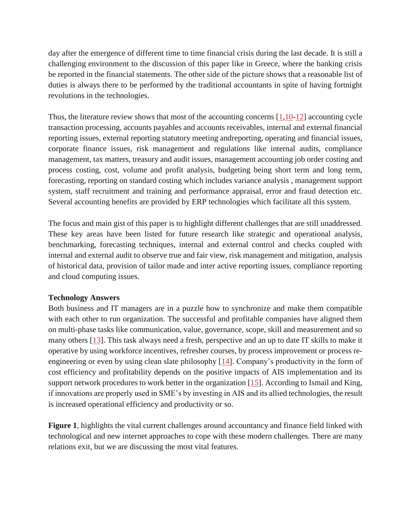day after the emergence of different time to time financial crisis during the last decade. It is still a challenging environment to the discussion of this paper like in Greece, where the banking crisis be reported in the financial statements. The other side of the picture shows that a reasonable list of duties is always there to be performed by the traditional accountants in spite of having fortnight revolutions in the technologies.

Thus, the literature review shows that most of the accounting concerns  $[1,10-12]$  $[1,10-12]$  $[1,10-12]$  accounting cycle transaction processing, accounts payables and accounts receivables, internal and external financial reporting issues, external reporting statutory meeting andreporting, operating and financial issues, corporate finance issues, risk management and regulations like internal audits, compliance management, tax matters, treasury and audit issues, management accounting job order costing and process costing, cost, volume and profit analysis, budgeting being short term and long term, forecasting, reporting on standard costing which includes variance analysis , management support system, staff recruitment and training and performance appraisal, error and fraud detection etc. Several accounting benefits are provided by ERP technologies which facilitate all this system.

The focus and main gist of this paper is to highlight different challenges that are still unaddressed. These key areas have been listed for future research like strategic and operational analysis, benchmarking, forecasting techniques, internal and external control and checks coupled with internal and external audit to observe true and fair view, risk management and mitigation, analysis of historical data, provision of tailor made and inter active reporting issues, compliance reporting and cloud computing issues.

#### **Technology Answers**

Both business and IT managers are in a puzzle how to synchronize and make them compatible with each other to run organization. The successful and profitable companies have aligned them on multi-phase tasks like communication, value, governance, scope, skill and measurement and so many others [\[13\]](http://www.icommercecentral.com/open-access/accounting-information-systems-traditions-and-future-directions-by-using-ais-in-traditional-organizations.php?aid=86088#13). This task always need a fresh, perspective and an up to date IT skills to make it operative by using workforce incentives, refresher courses, by process improvement or process reengineering or even by using clean slate philosophy [\[14\]](http://www.icommercecentral.com/open-access/accounting-information-systems-traditions-and-future-directions-by-using-ais-in-traditional-organizations.php?aid=86088#14). Company's productivity in the form of cost efficiency and profitability depends on the positive impacts of AIS implementation and its support network procedures to work better in the organization [\[15\]](http://www.icommercecentral.com/open-access/accounting-information-systems-traditions-and-future-directions-by-using-ais-in-traditional-organizations.php?aid=86088#15). According to Ismail and King, if innovations are properly used in SME's by investing in AIS and its allied technologies, the result is increased operational efficiency and productivity or so.

**Figure 1**, highlights the vital current challenges around accountancy and finance field linked with technological and new internet approaches to cope with these modern challenges. There are many relations exit, but we are discussing the most vital features.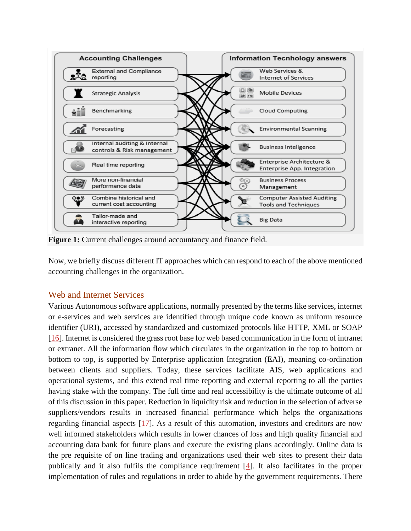

**Figure 1:** Current challenges around accountancy and finance field.

Now, we briefly discuss different IT approaches which can respond to each of the above mentioned accounting challenges in the organization.

# Web and Internet Services

Various Autonomous software applications, normally presented by the terms like services, internet or e-services and web services are identified through unique code known as uniform resource identifier (URI), accessed by standardized and customized protocols like HTTP, XML or SOAP [\[16\]](http://www.icommercecentral.com/open-access/accounting-information-systems-traditions-and-future-directions-by-using-ais-in-traditional-organizations.php?aid=86088#16). Internet is considered the grass root base for web based communication in the form of intranet or extranet. All the information flow which circulates in the organization in the top to bottom or bottom to top, is supported by Enterprise application Integration (EAI), meaning co-ordination between clients and suppliers. Today, these services facilitate AIS, web applications and operational systems, and this extend real time reporting and external reporting to all the parties having stake with the company. The full time and real accessibility is the ultimate outcome of all of this discussion in this paper. Reduction in liquidity risk and reduction in the selection of adverse suppliers/vendors results in increased financial performance which helps the organizations regarding financial aspects [\[17\]](http://www.icommercecentral.com/open-access/accounting-information-systems-traditions-and-future-directions-by-using-ais-in-traditional-organizations.php?aid=86088#17). As a result of this automation, investors and creditors are now well informed stakeholders which results in lower chances of loss and high quality financial and accounting data bank for future plans and execute the existing plans accordingly. Online data is the pre requisite of on line trading and organizations used their web sites to present their data publically and it also fulfils the compliance requirement [\[4\]](http://www.icommercecentral.com/open-access/accounting-information-systems-traditions-and-future-directions-by-using-ais-in-traditional-organizations.php?aid=86088#4). It also facilitates in the proper implementation of rules and regulations in order to abide by the government requirements. There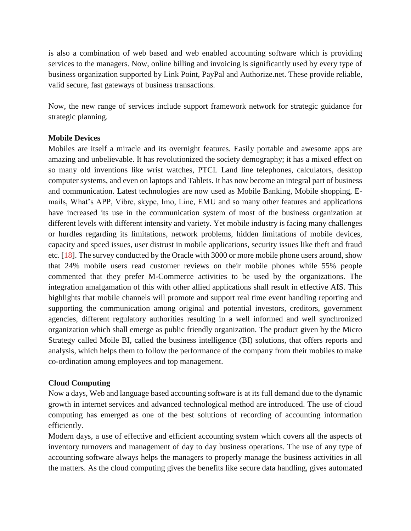is also a combination of web based and web enabled accounting software which is providing services to the managers. Now, online billing and invoicing is significantly used by every type of business organization supported by Link Point, PayPal and Authorize.net. These provide reliable, valid secure, fast gateways of business transactions.

Now, the new range of services include support framework network for strategic guidance for strategic planning.

### **Mobile Devices**

Mobiles are itself a miracle and its overnight features. Easily portable and awesome apps are amazing and unbelievable. It has revolutionized the society demography; it has a mixed effect on so many old inventions like wrist watches, PTCL Land line telephones, calculators, desktop computer systems, and even on laptops and Tablets. It has now become an integral part of business and communication. Latest technologies are now used as Mobile Banking, Mobile shopping, Emails, What's APP, Vibre, skype, Imo, Line, EMU and so many other features and applications have increased its use in the communication system of most of the business organization at different levels with different intensity and variety. Yet mobile industry is facing many challenges or hurdles regarding its limitations, network problems, hidden limitations of mobile devices, capacity and speed issues, user distrust in mobile applications, security issues like theft and fraud etc. [\[18\]](http://www.icommercecentral.com/open-access/accounting-information-systems-traditions-and-future-directions-by-using-ais-in-traditional-organizations.php?aid=86088#18). The survey conducted by the Oracle with 3000 or more mobile phone users around, show that 24% mobile users read customer reviews on their mobile phones while 55% people commented that they prefer M-Commerce activities to be used by the organizations. The integration amalgamation of this with other allied applications shall result in effective AIS. This highlights that mobile channels will promote and support real time event handling reporting and supporting the communication among original and potential investors, creditors, government agencies, different regulatory authorities resulting in a well informed and well synchronized organization which shall emerge as public friendly organization. The product given by the Micro Strategy called Moile BI, called the business intelligence (BI) solutions, that offers reports and analysis, which helps them to follow the performance of the company from their mobiles to make co-ordination among employees and top management.

#### **Cloud Computing**

Now a days, Web and language based accounting software is at its full demand due to the dynamic growth in internet services and advanced technological method are introduced. The use of cloud computing has emerged as one of the best solutions of recording of accounting information efficiently.

Modern days, a use of effective and efficient accounting system which covers all the aspects of inventory turnovers and management of day to day business operations. The use of any type of accounting software always helps the managers to properly manage the business activities in all the matters. As the cloud computing gives the benefits like secure data handling, gives automated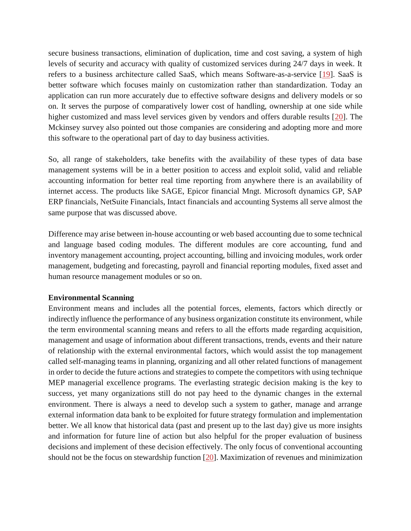secure business transactions, elimination of duplication, time and cost saving, a system of high levels of security and accuracy with quality of customized services during 24/7 days in week. It refers to a business architecture called SaaS, which means Software-as-a-service [\[19\]](http://www.icommercecentral.com/open-access/accounting-information-systems-traditions-and-future-directions-by-using-ais-in-traditional-organizations.php?aid=86088#19). SaaS is better software which focuses mainly on customization rather than standardization. Today an application can run more accurately due to effective software designs and delivery models or so on. It serves the purpose of comparatively lower cost of handling, ownership at one side while higher customized and mass level services given by vendors and offers durable results [\[20\]](http://www.icommercecentral.com/open-access/accounting-information-systems-traditions-and-future-directions-by-using-ais-in-traditional-organizations.php?aid=86088#20). The Mckinsey survey also pointed out those companies are considering and adopting more and more this software to the operational part of day to day business activities.

So, all range of stakeholders, take benefits with the availability of these types of data base management systems will be in a better position to access and exploit solid, valid and reliable accounting information for better real time reporting from anywhere there is an availability of internet access. The products like SAGE, Epicor financial Mngt. Microsoft dynamics GP, SAP ERP financials, NetSuite Financials, Intact financials and accounting Systems all serve almost the same purpose that was discussed above.

Difference may arise between in-house accounting or web based accounting due to some technical and language based coding modules. The different modules are core accounting, fund and inventory management accounting, project accounting, billing and invoicing modules, work order management, budgeting and forecasting, payroll and financial reporting modules, fixed asset and human resource management modules or so on.

#### **Environmental Scanning**

Environment means and includes all the potential forces, elements, factors which directly or indirectly influence the performance of any business organization constitute its environment, while the term environmental scanning means and refers to all the efforts made regarding acquisition, management and usage of information about different transactions, trends, events and their nature of relationship with the external environmental factors, which would assist the top management called self-managing teams in planning, organizing and all other related functions of management in order to decide the future actions and strategies to compete the competitors with using technique MEP managerial excellence programs. The everlasting strategic decision making is the key to success, yet many organizations still do not pay heed to the dynamic changes in the external environment. There is always a need to develop such a system to gather, manage and arrange external information data bank to be exploited for future strategy formulation and implementation better. We all know that historical data (past and present up to the last day) give us more insights and information for future line of action but also helpful for the proper evaluation of business decisions and implement of these decision effectively. The only focus of conventional accounting should not be the focus on stewardship function [\[20\]](http://www.icommercecentral.com/open-access/accounting-information-systems-traditions-and-future-directions-by-using-ais-in-traditional-organizations.php?aid=86088#20). Maximization of revenues and minimization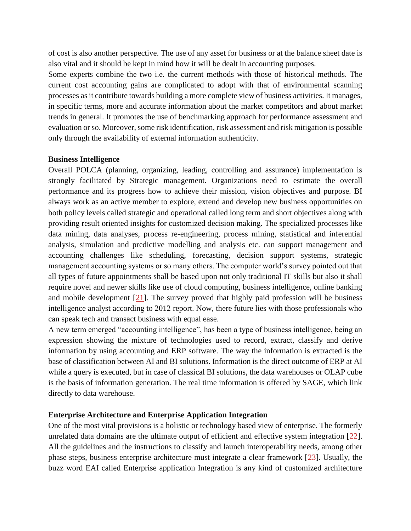of cost is also another perspective. The use of any asset for business or at the balance sheet date is also vital and it should be kept in mind how it will be dealt in accounting purposes.

Some experts combine the two i.e. the current methods with those of historical methods. The current cost accounting gains are complicated to adopt with that of environmental scanning processes as it contribute towards building a more complete view of business activities. It manages, in specific terms, more and accurate information about the market competitors and about market trends in general. It promotes the use of benchmarking approach for performance assessment and evaluation or so. Moreover, some risk identification, risk assessment and risk mitigation is possible only through the availability of external information authenticity.

#### **Business Intelligence**

Overall POLCA (planning, organizing, leading, controlling and assurance) implementation is strongly facilitated by Strategic management. Organizations need to estimate the overall performance and its progress how to achieve their mission, vision objectives and purpose. BI always work as an active member to explore, extend and develop new business opportunities on both policy levels called strategic and operational called long term and short objectives along with providing result oriented insights for customized decision making. The specialized processes like data mining, data analyses, process re-engineering, process mining, statistical and inferential analysis, simulation and predictive modelling and analysis etc. can support management and accounting challenges like scheduling, forecasting, decision support systems, strategic management accounting systems or so many others. The computer world's survey pointed out that all types of future appointments shall be based upon not only traditional IT skills but also it shall require novel and newer skills like use of cloud computing, business intelligence, online banking and mobile development [\[21\]](http://www.icommercecentral.com/open-access/accounting-information-systems-traditions-and-future-directions-by-using-ais-in-traditional-organizations.php?aid=86088#21). The survey proved that highly paid profession will be business intelligence analyst according to 2012 report. Now, there future lies with those professionals who can speak tech and transact business with equal ease.

A new term emerged "accounting intelligence", has been a type of business intelligence, being an expression showing the mixture of technologies used to record, extract, classify and derive information by using accounting and ERP software. The way the information is extracted is the base of classification between AI and BI solutions. Information is the direct outcome of ERP at AI while a query is executed, but in case of classical BI solutions, the data warehouses or OLAP cube is the basis of information generation. The real time information is offered by SAGE, which link directly to data warehouse.

#### **Enterprise Architecture and Enterprise Application Integration**

One of the most vital provisions is a holistic or technology based view of enterprise. The formerly unrelated data domains are the ultimate output of efficient and effective system integration [\[22\]](http://www.icommercecentral.com/open-access/accounting-information-systems-traditions-and-future-directions-by-using-ais-in-traditional-organizations.php?aid=86088#22). All the guidelines and the instructions to classify and launch interoperability needs, among other phase steps, business enterprise architecture must integrate a clear framework [\[23\]](http://www.icommercecentral.com/open-access/accounting-information-systems-traditions-and-future-directions-by-using-ais-in-traditional-organizations.php?aid=86088#23). Usually, the buzz word EAI called Enterprise application Integration is any kind of customized architecture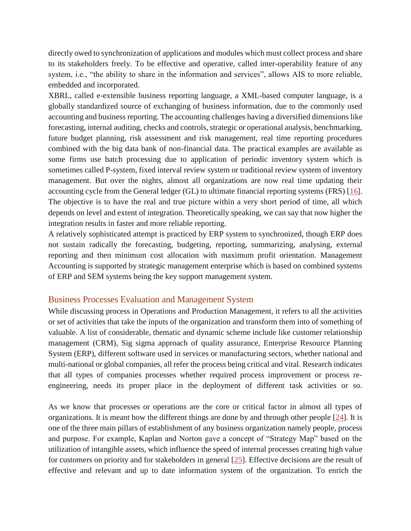directly owed to synchronization of applications and modules which must collect process and share to its stakeholders freely. To be effective and operative, called inter-operability feature of any system, i.e., "the ability to share in the information and services", allows AIS to more reliable, embedded and incorporated.

XBRL, called e-extensible business reporting language, a XML-based computer language, is a globally standardized source of exchanging of business information, due to the commonly used accounting and business reporting. The accounting challenges having a diversified dimensions like forecasting, internal auditing, checks and controls, strategic or operational analysis, benchmarking, future budget planning, risk assessment and risk management, real time reporting procedures combined with the big data bank of non-financial data. The practical examples are available as some firms use batch processing due to application of periodic inventory system which is sometimes called P-system, fixed interval review system or traditional review system of inventory management. But over the nights, almost all organizations are now real time updating their accounting cycle from the General ledger (GL) to ultimate financial reporting systems (FRS) [\[16\]](http://www.icommercecentral.com/open-access/accounting-information-systems-traditions-and-future-directions-by-using-ais-in-traditional-organizations.php?aid=86088#16). The objective is to have the real and true picture within a very short period of time, all which depends on level and extent of integration. Theoretically speaking, we can say that now higher the integration results in faster and more reliable reporting.

A relatively sophisticated attempt is practiced by ERP system to synchronized, though ERP does not sustain radically the forecasting, budgeting, reporting, summarizing, analysing, external reporting and then minimum cost allocation with maximum profit orientation. Management Accounting is supported by strategic management enterprise which is based on combined systems of ERP and SEM systems being the key support management system.

# Business Processes Evaluation and Management System

While discussing process in Operations and Production Management, it refers to all the activities or set of activities that take the inputs of the organization and transform them into of something of valuable. A list of considerable, thematic and dynamic scheme include like customer relationship management (CRM), Sig sigma approach of quality assurance, Enterprise Resource Planning System (ERP), different software used in services or manufacturing sectors, whether national and multi-national or global companies, all refer the process being critical and vital. Research indicates that all types of companies processes whether required process improvement or process reengineering, needs its proper place in the deployment of different task activities or so.

As we know that processes or operations are the core or critical factor in almost all types of organizations. It is meant how the different things are done by and through other people  $[24]$ . It is one of the three main pillars of establishment of any business organization namely people, process and purpose. For example, Kaplan and Norton gave a concept of "Strategy Map" based on the utilization of intangible assets, which influence the speed of internal processes creating high value for customers on priority and for stakeholders in general [\[25\]](http://www.icommercecentral.com/open-access/accounting-information-systems-traditions-and-future-directions-by-using-ais-in-traditional-organizations.php?aid=86088#25). Effective decisions are the result of effective and relevant and up to date information system of the organization. To enrich the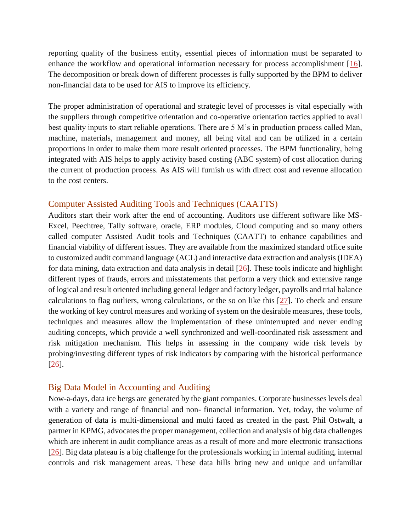reporting quality of the business entity, essential pieces of information must be separated to enhance the workflow and operational information necessary for process accomplishment [\[16\]](http://www.icommercecentral.com/open-access/accounting-information-systems-traditions-and-future-directions-by-using-ais-in-traditional-organizations.php?aid=86088#16). The decomposition or break down of different processes is fully supported by the BPM to deliver non-financial data to be used for AIS to improve its efficiency.

The proper administration of operational and strategic level of processes is vital especially with the suppliers through competitive orientation and co-operative orientation tactics applied to avail best quality inputs to start reliable operations. There are 5 M's in production process called Man, machine, materials, management and money, all being vital and can be utilized in a certain proportions in order to make them more result oriented processes. The BPM functionality, being integrated with AIS helps to apply activity based costing (ABC system) of cost allocation during the current of production process. As AIS will furnish us with direct cost and revenue allocation to the cost centers.

# Computer Assisted Auditing Tools and Techniques (CAATTS)

Auditors start their work after the end of accounting. Auditors use different software like MS-Excel, Peechtree, Tally software, oracle, ERP modules, Cloud computing and so many others called computer Assisted Audit tools and Techniques (CAATT) to enhance capabilities and financial viability of different issues. They are available from the maximized standard office suite to customized audit command language (ACL) and interactive data extraction and analysis (IDEA) for data mining, data extraction and data analysis in detail [\[26\]](http://www.icommercecentral.com/open-access/accounting-information-systems-traditions-and-future-directions-by-using-ais-in-traditional-organizations.php?aid=86088#26). These tools indicate and highlight different types of frauds, errors and misstatements that perform a very thick and extensive range of logical and result oriented including general ledger and factory ledger, payrolls and trial balance calculations to flag outliers, wrong calculations, or the so on like this [\[27\]](http://www.icommercecentral.com/open-access/accounting-information-systems-traditions-and-future-directions-by-using-ais-in-traditional-organizations.php?aid=86088#27). To check and ensure the working of key control measures and working of system on the desirable measures, these tools, techniques and measures allow the implementation of these uninterrupted and never ending auditing concepts, which provide a well synchronized and well-coordinated risk assessment and risk mitigation mechanism. This helps in assessing in the company wide risk levels by probing/investing different types of risk indicators by comparing with the historical performance [\[26\]](http://www.icommercecentral.com/open-access/accounting-information-systems-traditions-and-future-directions-by-using-ais-in-traditional-organizations.php?aid=86088#26).

# Big Data Model in Accounting and Auditing

Now-a-days, data ice bergs are generated by the giant companies. Corporate businesses levels deal with a variety and range of financial and non- financial information. Yet, today, the volume of generation of data is multi-dimensional and multi faced as created in the past. Phil Ostwalt, a partner in KPMG, advocates the proper management, collection and analysis of big data challenges which are inherent in audit compliance areas as a result of more and more electronic transactions [\[26\]](http://www.icommercecentral.com/open-access/accounting-information-systems-traditions-and-future-directions-by-using-ais-in-traditional-organizations.php?aid=86088#26). Big data plateau is a big challenge for the professionals working in internal auditing, internal controls and risk management areas. These data hills bring new and unique and unfamiliar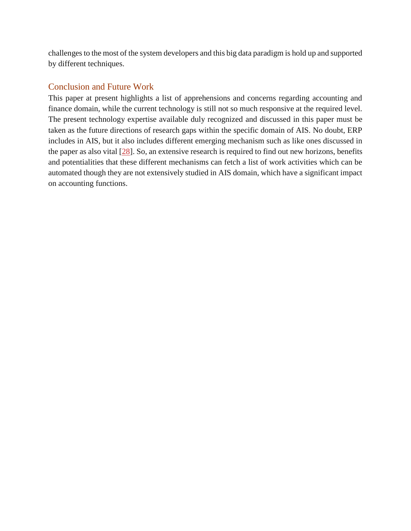challenges to the most of the system developers and this big data paradigm is hold up and supported by different techniques.

# Conclusion and Future Work

This paper at present highlights a list of apprehensions and concerns regarding accounting and finance domain, while the current technology is still not so much responsive at the required level. The present technology expertise available duly recognized and discussed in this paper must be taken as the future directions of research gaps within the specific domain of AIS. No doubt, ERP includes in AIS, but it also includes different emerging mechanism such as like ones discussed in the paper as also vital [\[28\]](http://www.icommercecentral.com/open-access/accounting-information-systems-traditions-and-future-directions-by-using-ais-in-traditional-organizations.php?aid=86088#28). So, an extensive research is required to find out new horizons, benefits and potentialities that these different mechanisms can fetch a list of work activities which can be automated though they are not extensively studied in AIS domain, which have a significant impact on accounting functions.